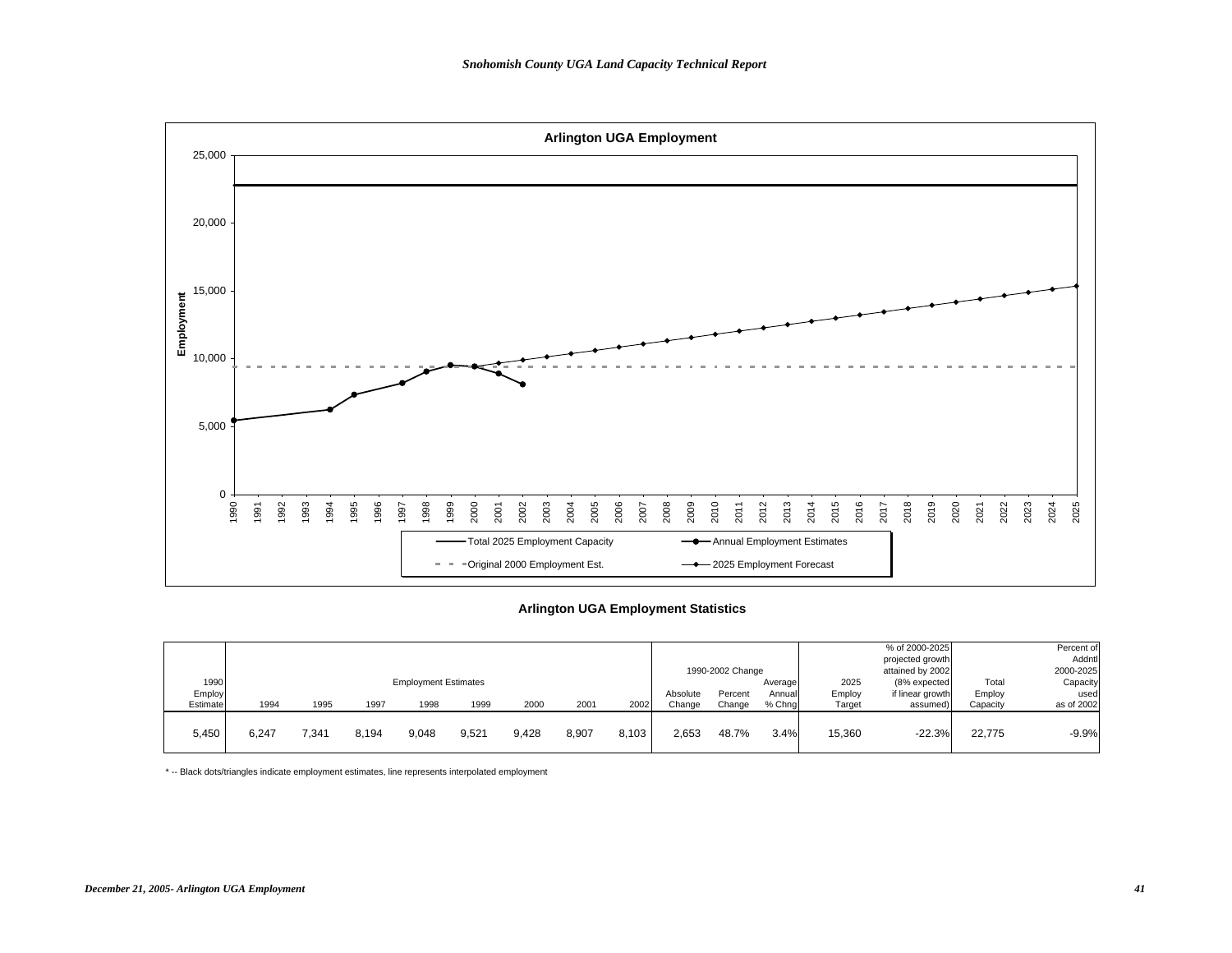

#### **Arlington UGA Employment Statistics**

|          |       |       |       |                             |       |       |       |       |          |                  |         |        | % of 2000-2025   |          | Percent of |
|----------|-------|-------|-------|-----------------------------|-------|-------|-------|-------|----------|------------------|---------|--------|------------------|----------|------------|
|          |       |       |       |                             |       |       |       |       |          |                  |         |        | projected growth |          | Addntl     |
|          |       |       |       |                             |       |       |       |       |          | 1990-2002 Change |         |        | attained by 2002 |          | 2000-2025  |
| 1990     |       |       |       | <b>Employment Estimates</b> |       |       |       |       |          |                  | Average | 2025   | $(8%$ expected   | Total    | Capacity   |
| Employ   |       |       |       |                             |       |       |       |       | Absolute | Percent          | Annuall | Employ | if linear growth | Employ   | used       |
| Estimate | 1994  | 1995  | 1997  | 1998                        | 1999  | 2000  | 2001  | 2002  | Change   | Change           | % Chng  | Target | assumed)         | Capacity | as of 2002 |
| 5,450    | 6.247 | 7,341 | 8,194 | 9,048                       | 9,521 | 9,428 | 8,907 | 8.103 | 2,653    | 48.7%            | 3.4%    | 15,360 | $-22.3%$         | 22,775   | $-9.9%$    |
|          |       |       |       |                             |       |       |       |       |          |                  |         |        |                  |          |            |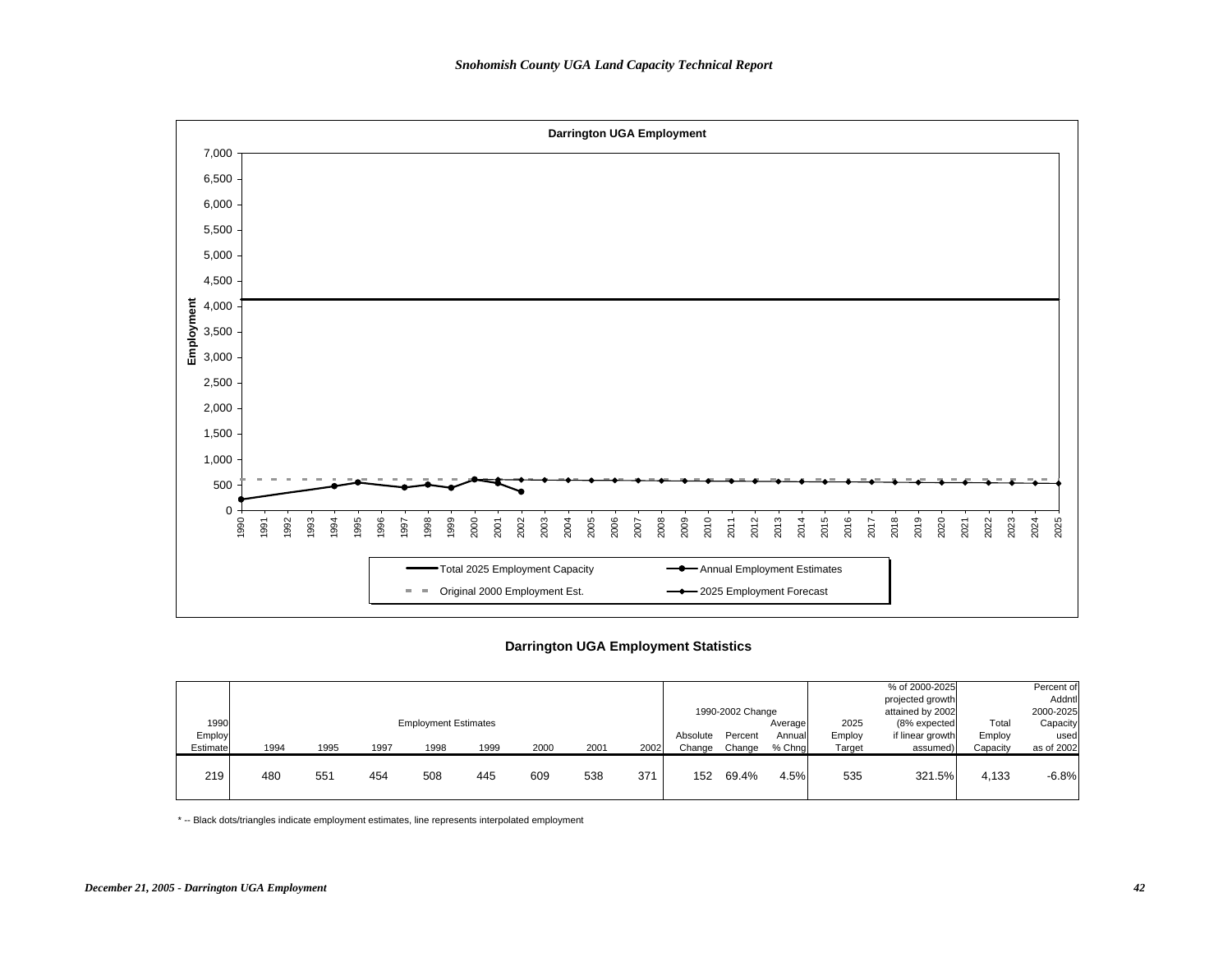

## **Darrington UGA Employment Statistics**

|          |      |      |      |                             |      |      |      |      |          | 1990-2002 Change |         |        | % of 2000-2025<br>projected growth<br>attained by 2002 |          | Percent of<br>Addntl<br>2000-2025 |
|----------|------|------|------|-----------------------------|------|------|------|------|----------|------------------|---------|--------|--------------------------------------------------------|----------|-----------------------------------|
| 1990     |      |      |      | <b>Employment Estimates</b> |      |      |      |      |          |                  | Average | 2025   | (8% expected                                           | Total    | Capacity                          |
| Employ   |      |      |      |                             |      |      |      |      | Absolute | Percent          | Annual  | Employ | if linear growth                                       | Employ   | used                              |
| Estimate | 1994 | 1995 | 1997 | 1998                        | 1999 | 2000 | 2001 | 2002 | Change   | Change           | % Chna  | Target | assumed)                                               | Capacity | as of 2002                        |
| 219      | 480  | 551  | 454  | 508                         | 445  | 609  | 538  | 371  | 152      | 69.4%            | 4.5%    | 535    | 321.5%                                                 | 4,133    | $-6.8%$                           |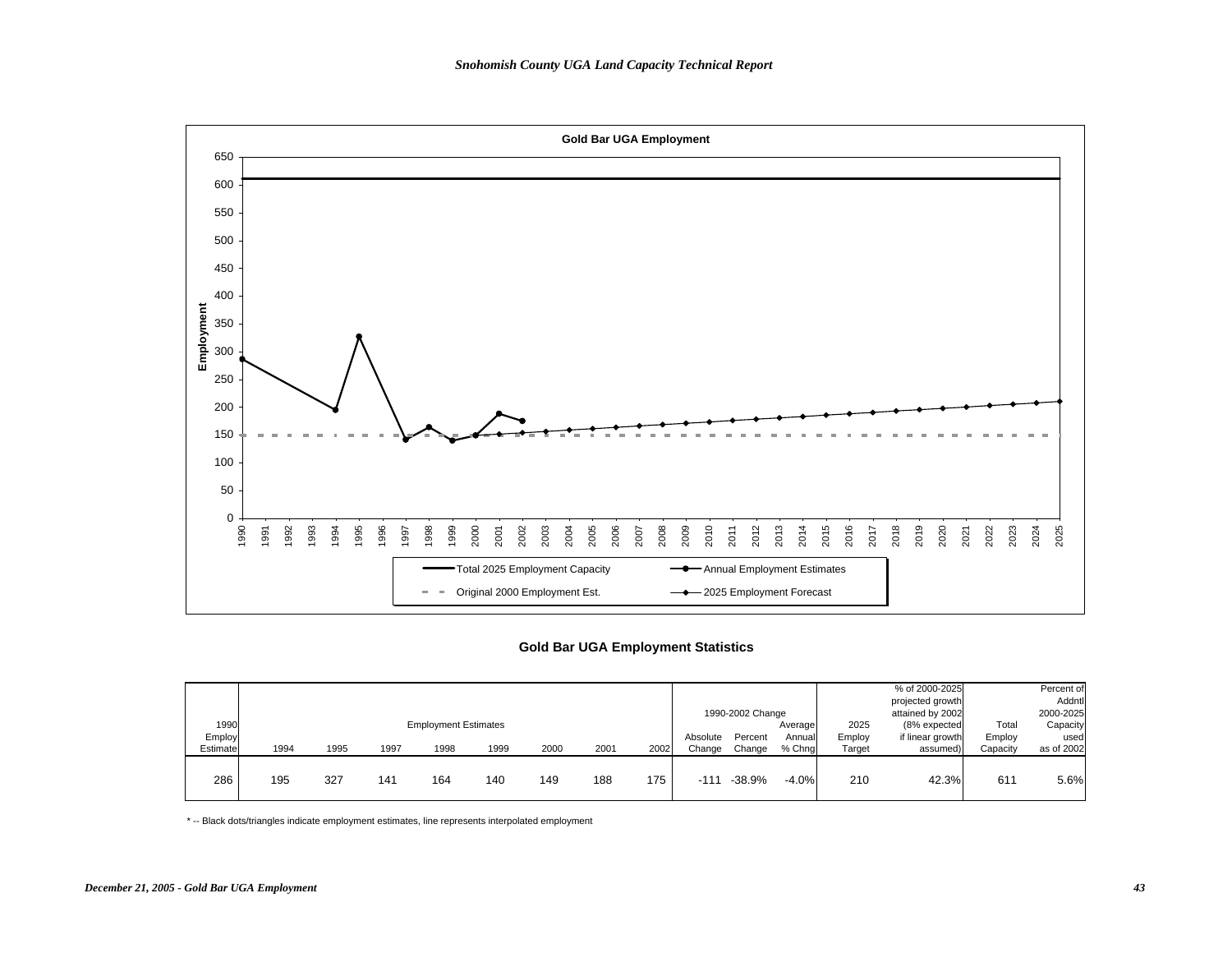

## **Gold Bar UGA Employment Statistics**

|                            |      |      |      |                                     |      |      |      |      |                    |                                       |                              |                          | % of 2000-2025<br>projected growth                               |                             | Percent of<br>Addntl                        |
|----------------------------|------|------|------|-------------------------------------|------|------|------|------|--------------------|---------------------------------------|------------------------------|--------------------------|------------------------------------------------------------------|-----------------------------|---------------------------------------------|
| 1990<br>Employ<br>Estimate | 1994 | 1995 | 1997 | <b>Employment Estimates</b><br>1998 | 1999 | 2000 | 2001 | 2002 | Absolute<br>Change | 1990-2002 Change<br>Percent<br>Change | Average<br>Annuall<br>% Chng | 2025<br>Employ<br>Target | attained by 2002<br>(8% expected<br>if linear growth<br>assumed) | Total<br>Employ<br>Capacity | 2000-2025<br>Capacity<br>used<br>as of 2002 |
| 286                        | 195  | 327  | 141  | 164                                 | 140  | 149  | 188  | 175  | $-111$             | $-38.9%$                              | $-4.0%$                      | 210                      | 42.3%                                                            | 61'                         | 5.6%                                        |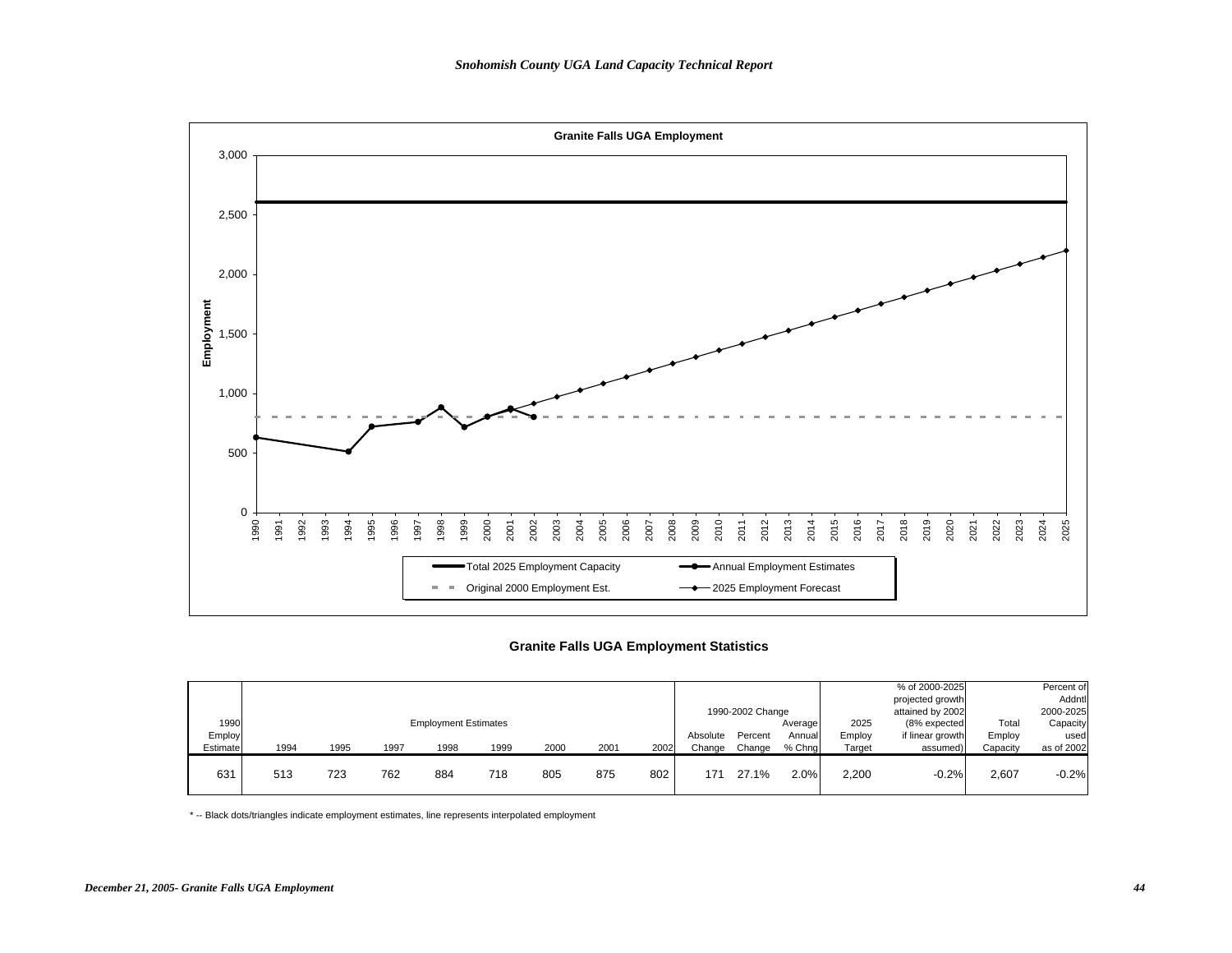

## **Granite Falls UGA Employment Statistics**

|          |      |      |      |                             |      |      |      |      |          |                  |         |        | % of 2000-2025<br>projected growth |          | Percent of<br>Addntl |
|----------|------|------|------|-----------------------------|------|------|------|------|----------|------------------|---------|--------|------------------------------------|----------|----------------------|
|          |      |      |      |                             |      |      |      |      |          | 1990-2002 Change |         |        | attained by 2002                   |          | 2000-2025            |
| 1990     |      |      |      | <b>Employment Estimates</b> |      |      |      |      |          |                  | Average | 2025   | (8% expected                       | Total    | Capacity             |
| Employ   |      |      |      |                             |      |      |      |      | Absolute | Percent          | Annuall | Employ | if linear growth                   | Employ   | used                 |
| Estimate | 1994 | 1995 | 1997 | 1998                        | 1999 | 2000 | 2001 | 2002 | Change   | Change           | % Chng  | Target | assumed)                           | Capacity | as of 2002           |
| 631      | 513  | 723  | 762  | 884                         | 718  | 805  | 875  | 802  | 171      | 27.1%            | 2.0%    | 2.200  | $-0.2%$                            | 2,607    | $-0.2%$              |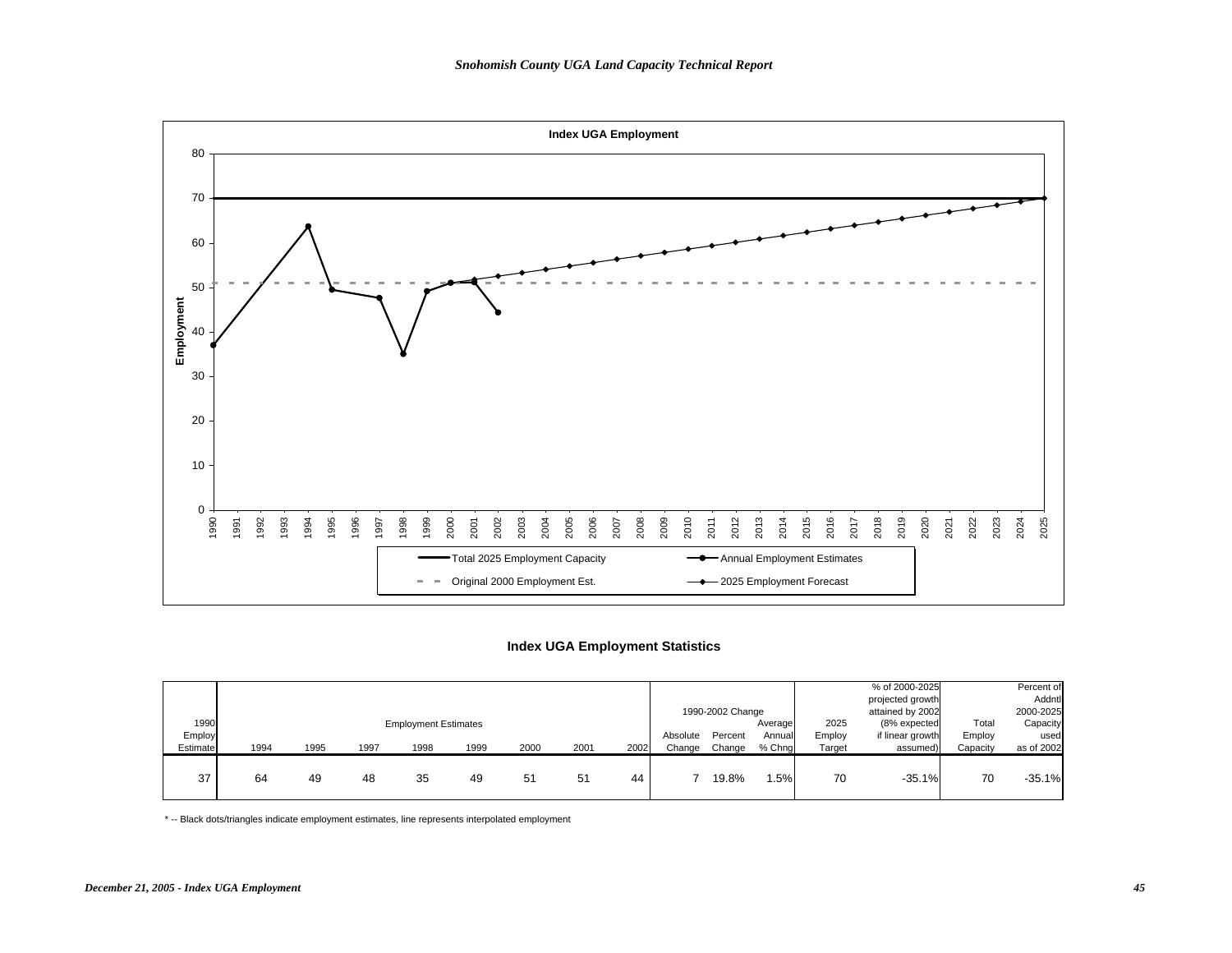

## **Index UGA Employment Statistics**

| 1990               |      |      |      | <b>Employment Estimates</b> |      |      |      |      |                    | 1990-2002 Change  | Average          | 2025             | % of 2000-2025<br>projected growth<br>attained by 2002<br>(8% expected | Total              | Percent of<br>Addntl<br>2000-2025<br>Capacity |
|--------------------|------|------|------|-----------------------------|------|------|------|------|--------------------|-------------------|------------------|------------------|------------------------------------------------------------------------|--------------------|-----------------------------------------------|
| Employ<br>Estimate | 1994 | 1995 | 1997 | 1998                        | 1999 | 2000 | 2001 | 2002 | Absolute<br>Change | Percent<br>Change | Annual<br>% Chng | Employ<br>Target | if linear growth<br>assumed)                                           | Employ<br>Capacity | used<br>as of 2002                            |
| 37                 | 64   | 49   | 48   | 35                          | 49   | 51   | 51   | 44   |                    | 19.8%             | .5%              | 70               | $-35.1%$                                                               | 70                 | $-35.1%$                                      |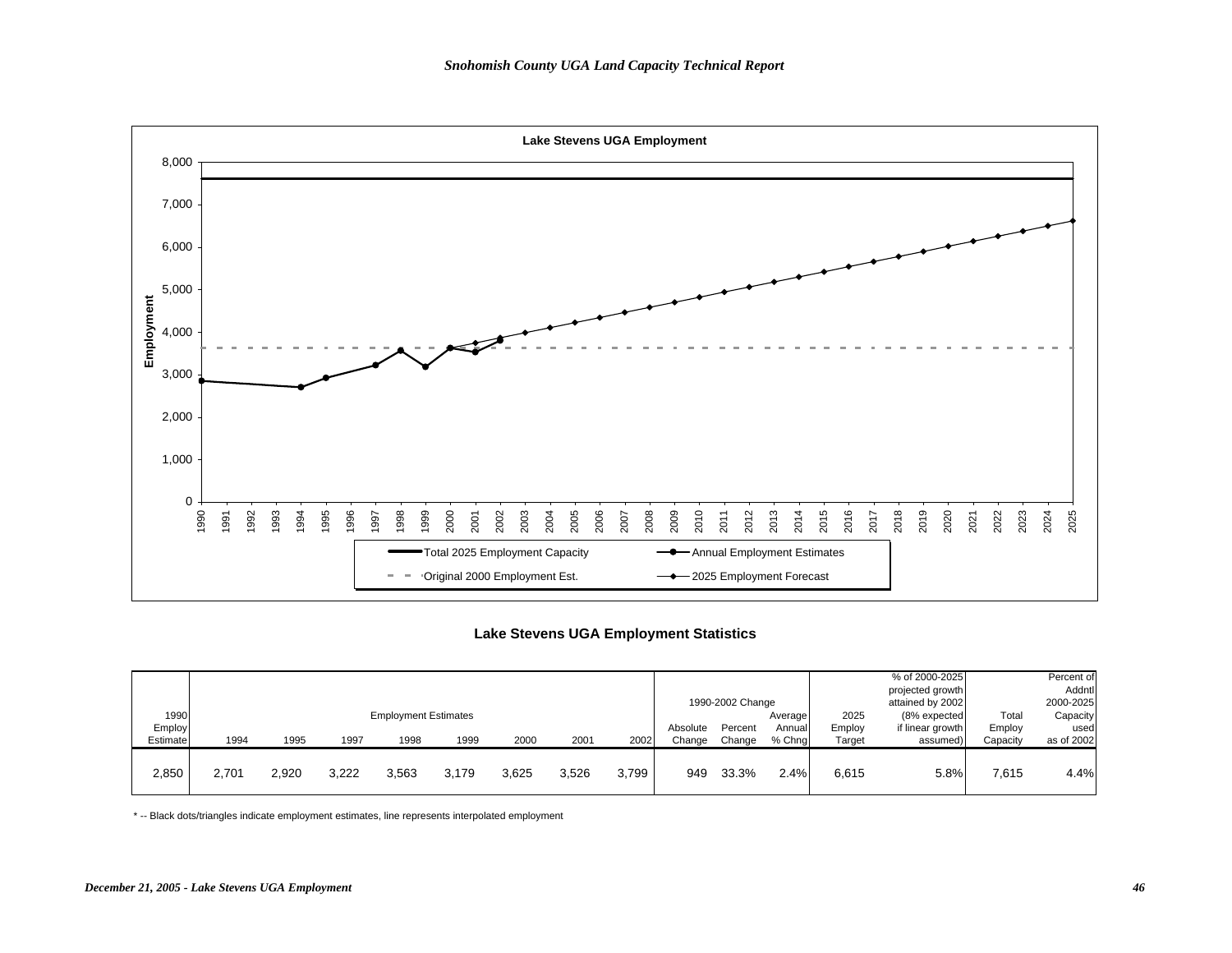

# **Lake Stevens UGA Employment Statistics**

|          |       |       |       |                             |       |       |       |       |          | 1990-2002 Change |         |        | % of 2000-2025<br>projected growth<br>attained by 2002 |          | Percent of<br>Addntl<br>2000-2025 |
|----------|-------|-------|-------|-----------------------------|-------|-------|-------|-------|----------|------------------|---------|--------|--------------------------------------------------------|----------|-----------------------------------|
| 1990     |       |       |       | <b>Employment Estimates</b> |       |       |       |       |          |                  | Average | 2025   | (8% expected                                           | Total    | Capacity                          |
| Employ   |       |       |       |                             |       |       |       |       | Absolute | Percent          | Annual  | Employ | if linear growth                                       | Employ   | used                              |
| Estimate | 1994  | 1995  | 1997  | 1998                        | 1999  | 2000  | 2001  | 2002  | Change   | Change           | % Chna  | Target | assumed)                                               | Capacity | as of 2002                        |
| 2,850    | 2.701 | 2,920 | 3,222 | 3,563                       | 3.179 | 3,625 | 3,526 | 3.799 | 949      | 33.3%            | 2.4%    | 6,615  | 5.8%                                                   | 7,615    | 4.4%                              |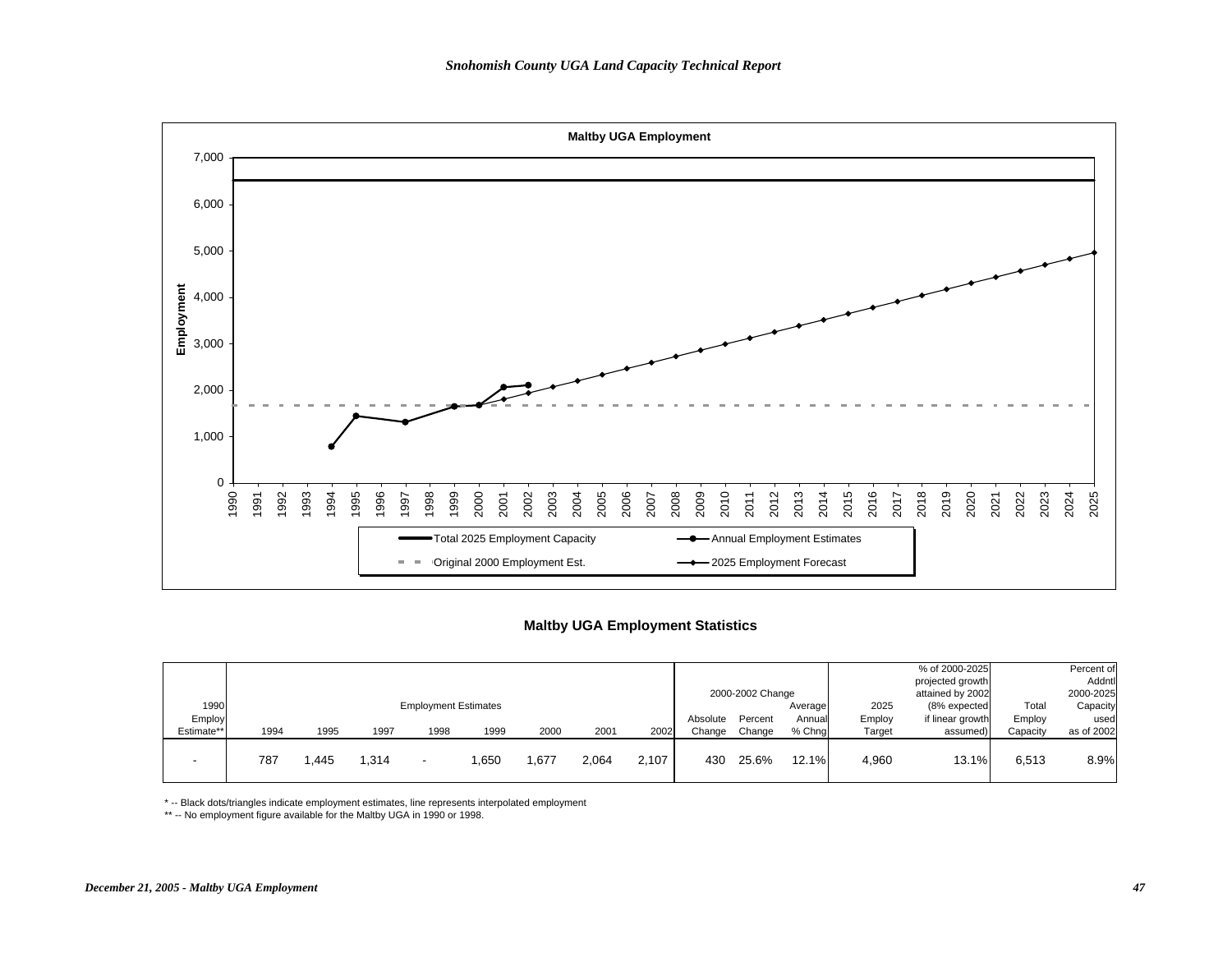

#### **Maltby UGA Employment Statistics**

|            |      |      |       |                             |      |       |       |       |          | 2000-2002 Change |          |        | % of 2000-2025<br>projected growth<br>attained by 2002 |          | Percent of<br>Addntl<br>2000-2025 |
|------------|------|------|-------|-----------------------------|------|-------|-------|-------|----------|------------------|----------|--------|--------------------------------------------------------|----------|-----------------------------------|
| 1990       |      |      |       | <b>Employment Estimates</b> |      |       |       |       |          |                  | Average  | 2025   | (8% expected                                           | Total    | Capacity                          |
| Employ     |      |      |       |                             |      |       |       |       | Absolute | Percent          | Annual   | Employ | if linear growth                                       | Employ   | used                              |
| Estimate** | 1994 | 1995 | 1997  | 1998                        | 1999 | 2000  | 2001  | 2002  | Change   | Change           | % Chng   | Target | assumed)                                               | Capacity | as of 2002                        |
|            | 787  | .445 | 1,314 | -                           | .650 | .,677 | 2,064 | 2.107 | 430      | 25.6%            | $12.1\%$ | 4.960  | 13.1%                                                  | 6,513    | 8.9%                              |

\* -- Black dots/triangles indicate employment estimates, line represents interpolated employment

\*\* -- No employment figure available for the Maltby UGA in 1990 or 1998.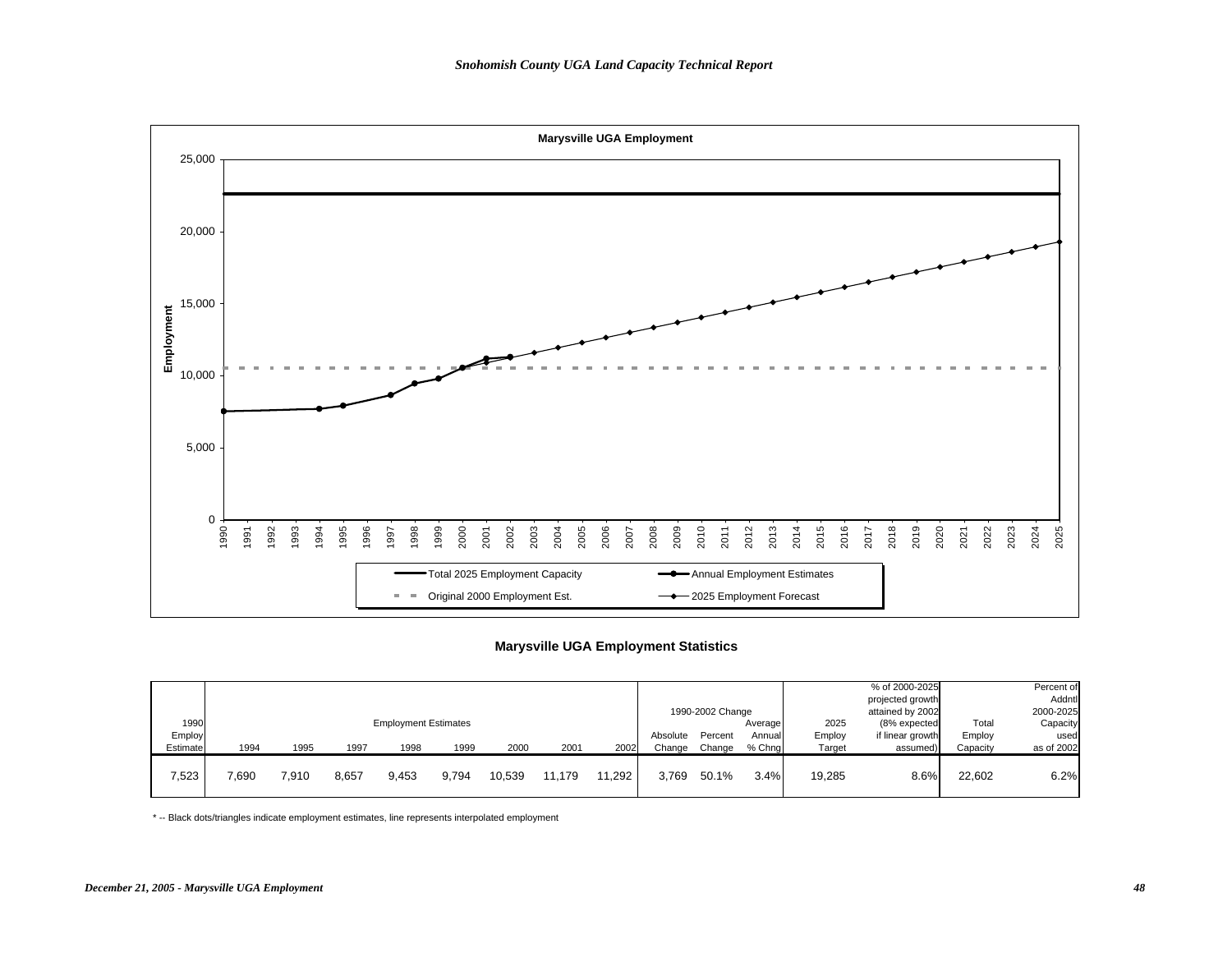

## **Marysville UGA Employment Statistics**

|          |       |       |       |                             |       |        |        |        |          |                  |         |        | % of 2000-2025   |          | Percent of |
|----------|-------|-------|-------|-----------------------------|-------|--------|--------|--------|----------|------------------|---------|--------|------------------|----------|------------|
|          |       |       |       |                             |       |        |        |        |          |                  |         |        | projected growth |          | Addntl     |
|          |       |       |       |                             |       |        |        |        |          | 1990-2002 Change |         |        | attained by 2002 |          | 2000-2025  |
| 1990     |       |       |       | <b>Employment Estimates</b> |       |        |        |        |          |                  | Average | 2025   | (8% expected     | Total    | Capacity   |
| Employ   |       |       |       |                             |       |        |        |        | Absolute | Percent          | Annuall | Employ | if linear growth | Employ   | used       |
| Estimate | 1994  | 1995  | 1997  | 1998                        | 1999  | 2000   | 2001   | 2002   | Change   | Change           | % Chna  | Target | assumed)         | Capacity | as of 2002 |
|          |       |       |       |                             |       |        |        |        |          |                  |         |        |                  |          |            |
| 7,523    | 7,690 | 7,910 | 8,657 | 9,453                       | 9,794 | 10,539 | 11.179 | 11.292 | 3,769    | 50.1%            | 3.4%    | 19,285 | 8.6%             | 22,602   | 6.2%       |
|          |       |       |       |                             |       |        |        |        |          |                  |         |        |                  |          |            |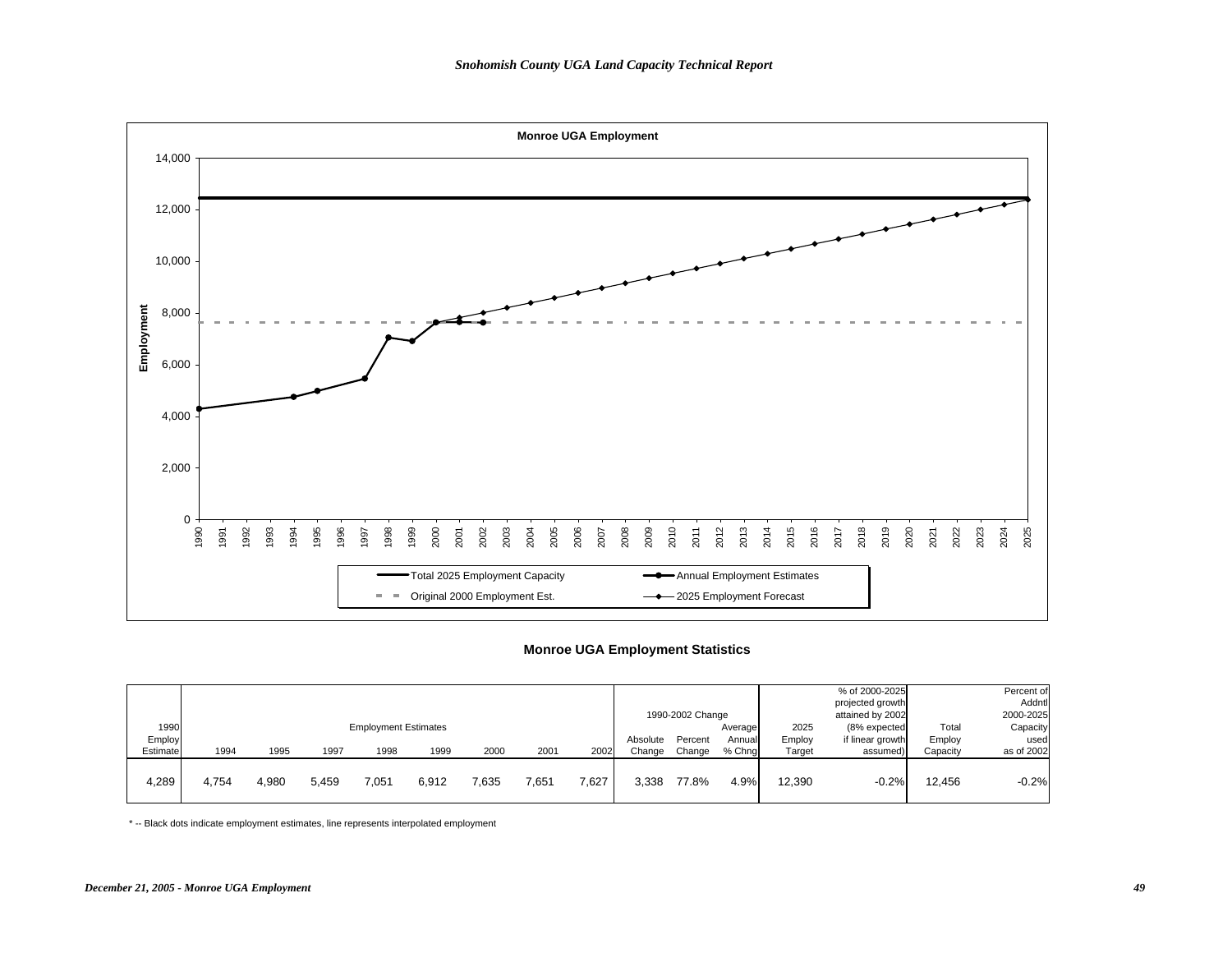

#### **Monroe UGA Employment Statistics**

|                            |       |       |       |                                     |       |       |       |       |                    | 1990-2002 Change  |                             |                          | % of 2000-2025<br>projected growth<br>attained by 2002 |                             | Percent of<br>Addntl<br>2000-2025 |
|----------------------------|-------|-------|-------|-------------------------------------|-------|-------|-------|-------|--------------------|-------------------|-----------------------------|--------------------------|--------------------------------------------------------|-----------------------------|-----------------------------------|
| 1990<br>Employ<br>Estimate | 1994  | 1995  | 1997  | <b>Employment Estimates</b><br>1998 | 1999  | 2000  | 2001  | 2002  | Absolute<br>Change | Percent<br>Change | Average<br>Annual<br>% Chng | 2025<br>Employ<br>Target | (8% expected<br>if linear growth<br>assumed)           | Total<br>Employ<br>Capacity | Capacity<br>used<br>as of 2002    |
| 4,289                      | 4.754 | 4,980 | 5,459 | 7,051                               | 6,912 | 7,635 | 7,651 | 7,627 | 3,338              | 77.8%             | 4.9%                        | 12,390                   | $-0.2%$                                                | 12.456                      | $-0.2%$                           |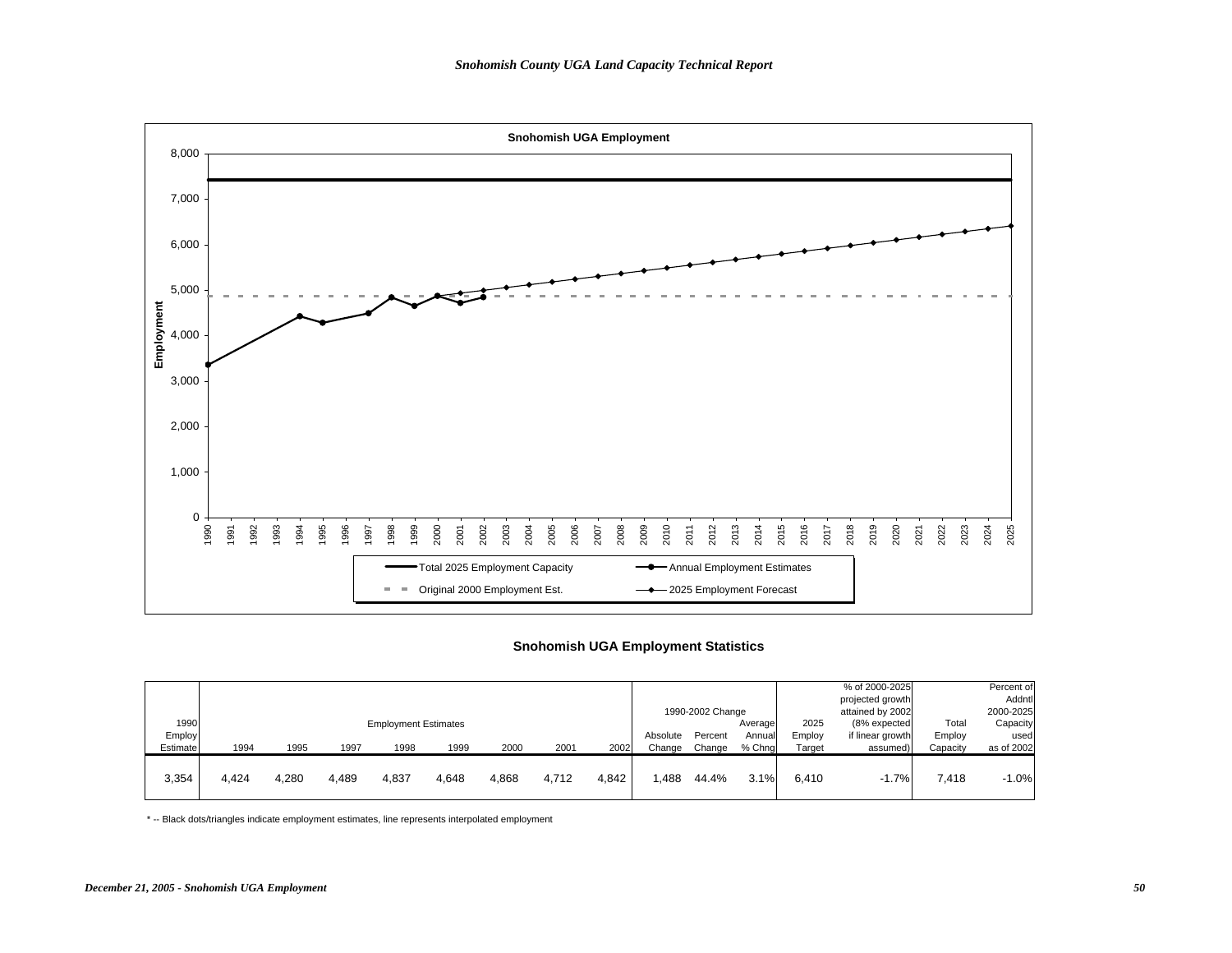

## **Snohomish UGA Employment Statistics**

|                |       |       |       |                             |       |       |       |       |          | 1990-2002 Change |                   |                | % of 2000-2025<br>projected growth<br>attained by 2002 |                 | Percent of<br>Addntl<br>2000-2025 |
|----------------|-------|-------|-------|-----------------------------|-------|-------|-------|-------|----------|------------------|-------------------|----------------|--------------------------------------------------------|-----------------|-----------------------------------|
| 1990<br>Employ |       |       |       | <b>Employment Estimates</b> |       |       |       |       | Absolute | Percent          | Average<br>Annual | 2025<br>Employ | (8% expected<br>if linear growth                       | Total<br>Employ | Capacity<br>used                  |
| Estimate       | 1994  | 1995  | 1997  | 1998                        | 1999  | 2000  | 2001  | 2002  | Change   | Change           | % Chng            | Target         | assumed)                                               | Capacity        | as of 2002                        |
| 3,354          | 4,424 | 4,280 | 4,489 | 4,837                       | 4,648 | 4,868 | 4,712 | 4,842 | .488     | 44.4%            | 3.1%              | 6.410          | $-1.7%$                                                | 7,418           | $-1.0%$                           |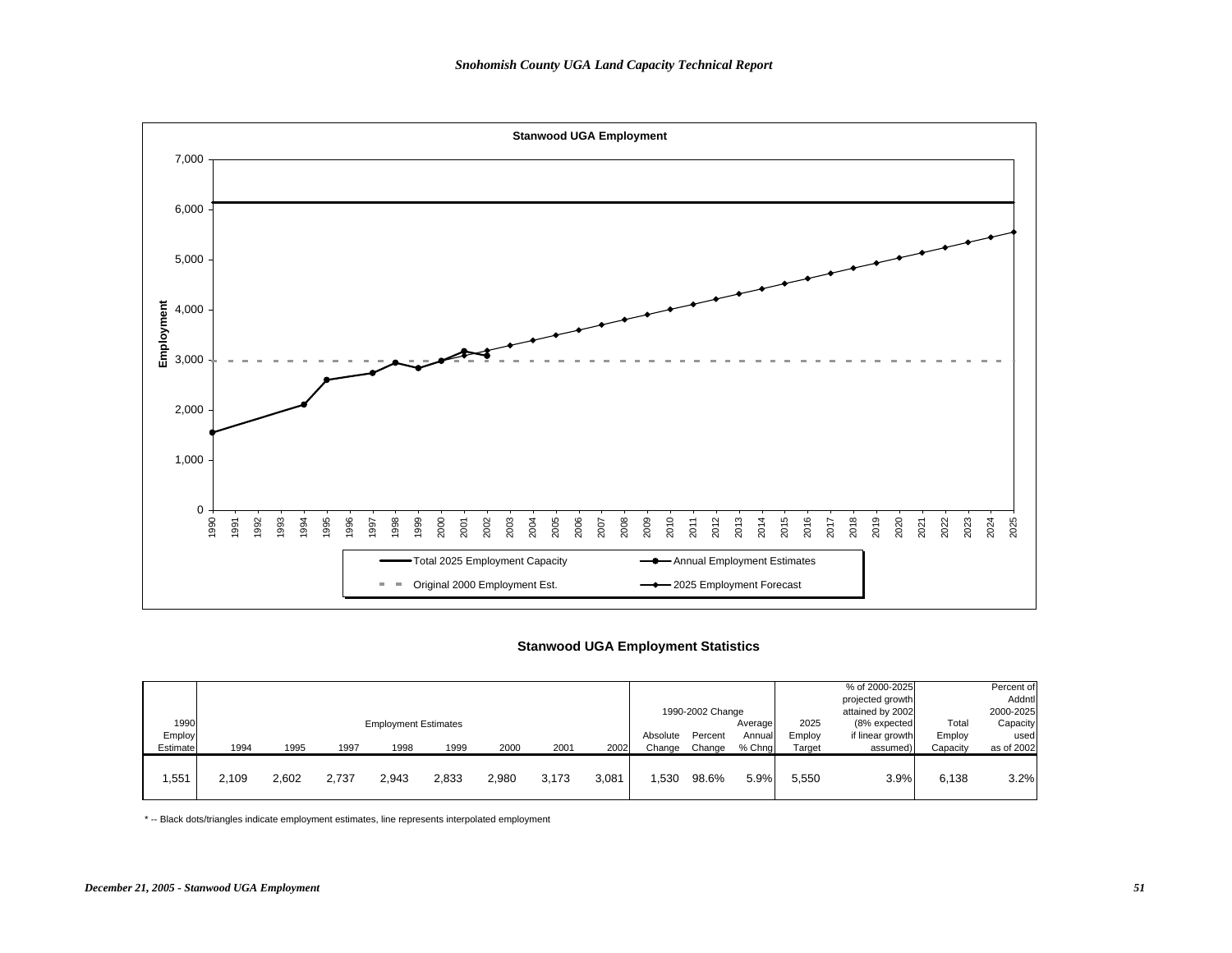

## **Stanwood UGA Employment Statistics**

|                |       |       |       |                             |       |       |       |       |          | 1990-2002 Change |                    |                | % of 2000-2025<br>projected growth<br>attained by 2002 |                 | Percent of<br>Addntl<br>2000-2025 |
|----------------|-------|-------|-------|-----------------------------|-------|-------|-------|-------|----------|------------------|--------------------|----------------|--------------------------------------------------------|-----------------|-----------------------------------|
| 1990<br>Employ |       |       |       | <b>Employment Estimates</b> |       |       |       |       | Absolute | Percent          | Average<br>Annuall | 2025<br>Employ | (8% expected<br>if linear growth                       | Total<br>Employ | Capacity<br>used                  |
| Estimate       | 1994  | 1995  | 1997  | 1998                        | 1999  | 2000  | 2001  | 2002  | Change   | Change           | % Chna             | Target         | assumed)                                               | Capacity        | as of 2002                        |
| .551           | 2.109 | 2,602 | 2,737 | 2.943                       | 2,833 | 2,980 | 3.173 | 3.081 | .530     | 98.6%            | 5.9%               | 5.550          | 3.9%                                                   | 6,138           | 3.2%                              |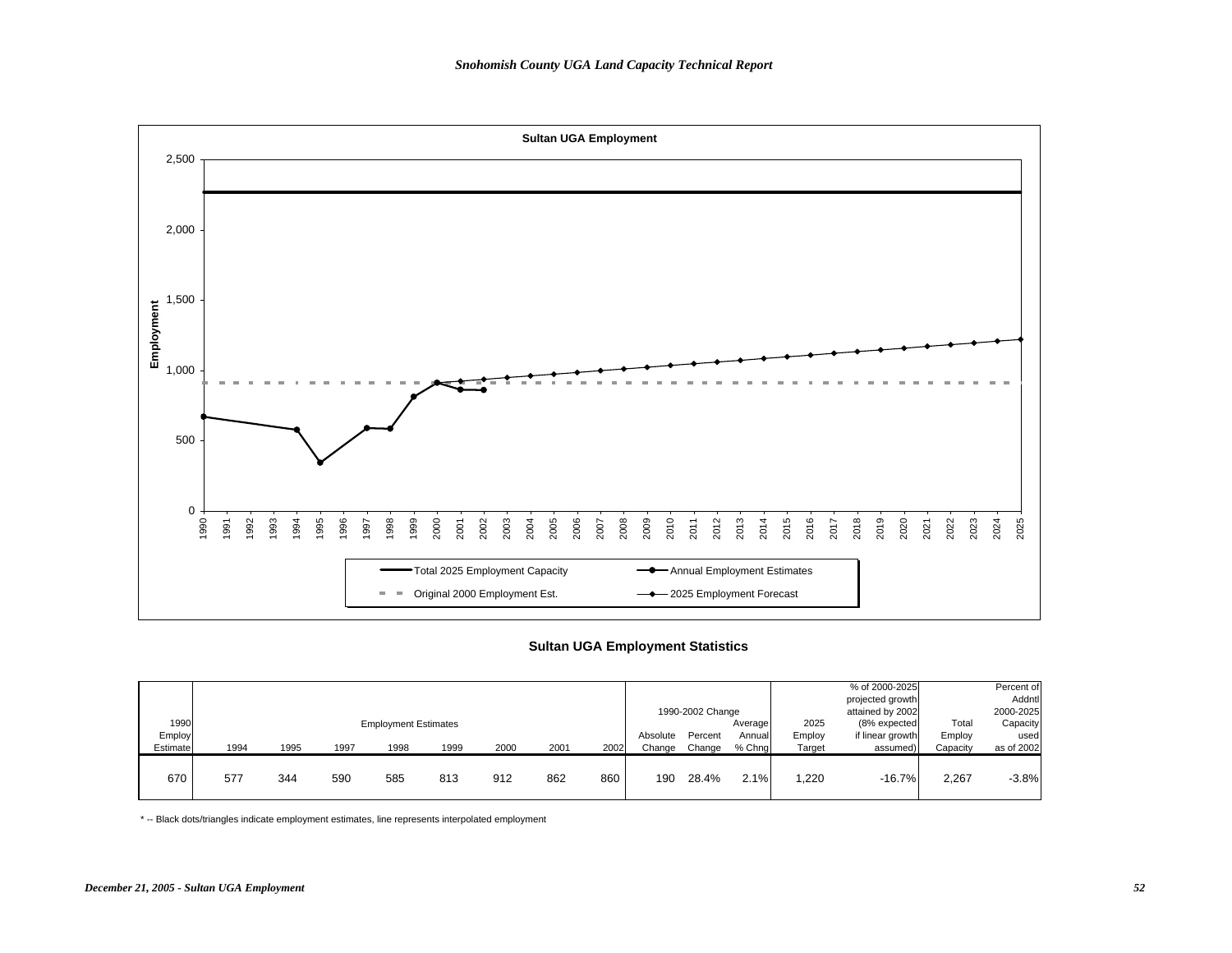

## **Sultan UGA Employment Statistics**

|                            |      |      |      |                                     |      |      |      |      |                    | 1990-2002 Change  |                             |                          | % of 2000-2025<br>projected growth<br>attained by 2002 |                             | Percent of<br>Addntl<br>2000-2025 |
|----------------------------|------|------|------|-------------------------------------|------|------|------|------|--------------------|-------------------|-----------------------------|--------------------------|--------------------------------------------------------|-----------------------------|-----------------------------------|
| 1990<br>Employ<br>Estimate | 1994 | 1995 | 1997 | <b>Employment Estimates</b><br>1998 | 1999 | 2000 | 2001 | 2002 | Absolute<br>Change | Percent<br>Change | Average<br>Annual<br>% Chng | 2025<br>Employ<br>Target | (8% expected<br>if linear growth<br>assumed)           | Total<br>Employ<br>Capacity | Capacity<br>used<br>as of 2002    |
| 670                        | 577  | 344  | 590  | 585                                 | 813  | 912  | 862  | 860  | 190                | 28.4%             | 2.1%                        | ,220                     | $-16.7%$                                               | 2,267                       | $-3.8%$                           |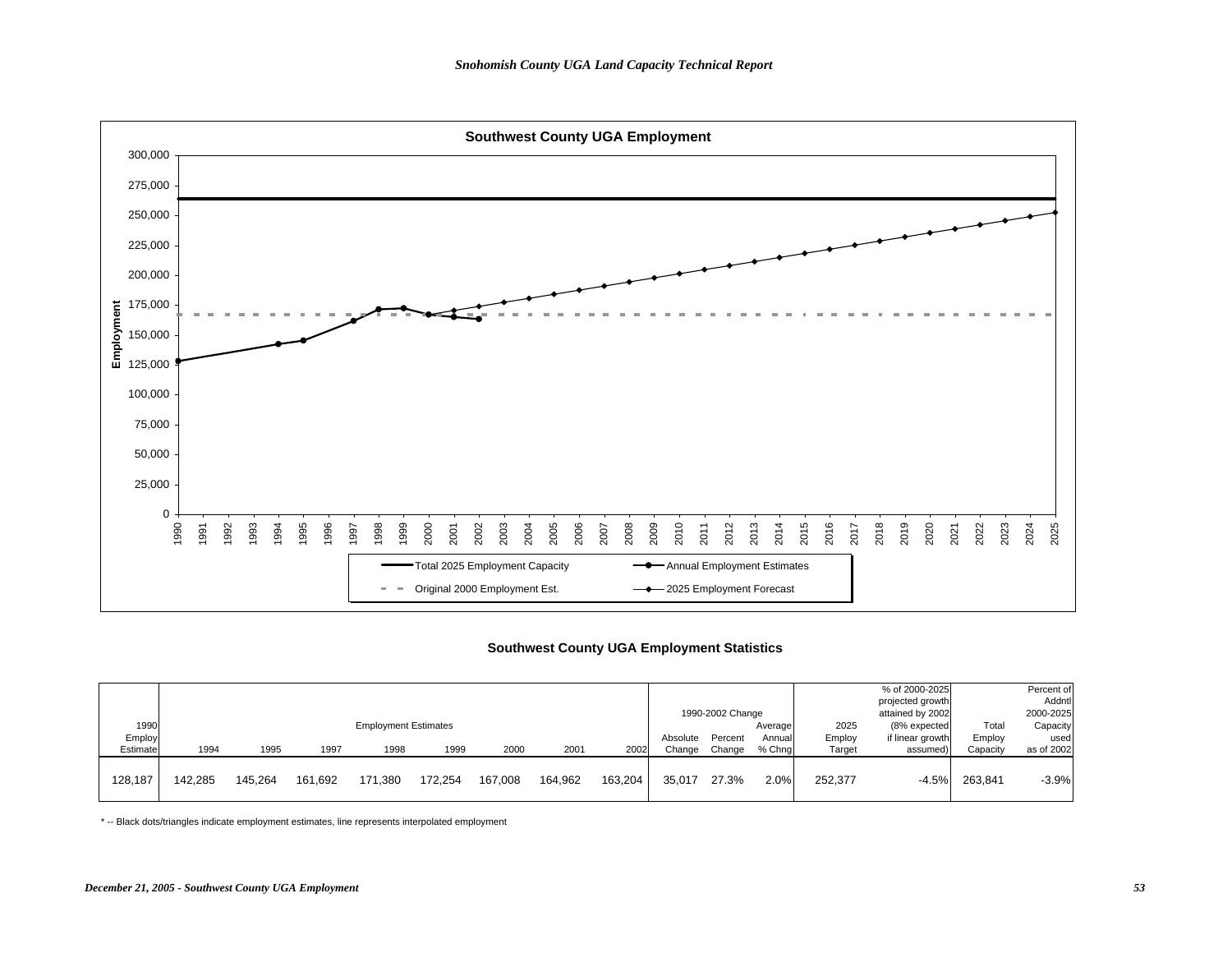

## **Southwest County UGA Employment Statistics**

|          |         |         |         |                             |         |         |                  |         |          |         |                  |         | % of 2000-2025   |          | Percent of |
|----------|---------|---------|---------|-----------------------------|---------|---------|------------------|---------|----------|---------|------------------|---------|------------------|----------|------------|
|          |         |         |         |                             |         |         |                  |         |          |         |                  |         |                  |          |            |
|          |         |         |         |                             |         |         |                  |         |          |         |                  |         | projected growth |          | Addntl     |
|          |         |         |         |                             |         |         | 1990-2002 Change |         |          |         | attained by 2002 |         | 2000-2025        |          |            |
| 1990     |         |         |         | <b>Employment Estimates</b> |         |         |                  |         | Average  | 2025    | (8% expected     | Total   | Capacity         |          |            |
| Employ   |         |         |         |                             |         |         |                  |         | Absolute | Percent | Annual           | Employ  | if linear growth | Employ   | used       |
| Estimate | 1994    | 1995    | 1997    | 1998                        | 1999    | 2000    | 2001             | 2002    | Change   | Change  | % Chng           | Target  | assumed)         | Capacity | as of 2002 |
|          |         |         |         |                             |         |         |                  |         |          |         |                  |         |                  |          |            |
| 128,187  | 142.285 | 145.264 | 161,692 | 171,380                     | 172,254 | 167,008 | 164,962          | 163.204 | 35.017   | 27.3%   | 2.0%             | 252,377 | $-4.5%$          | 263.841  | $-3.9%$    |
|          |         |         |         |                             |         |         |                  |         |          |         |                  |         |                  |          |            |